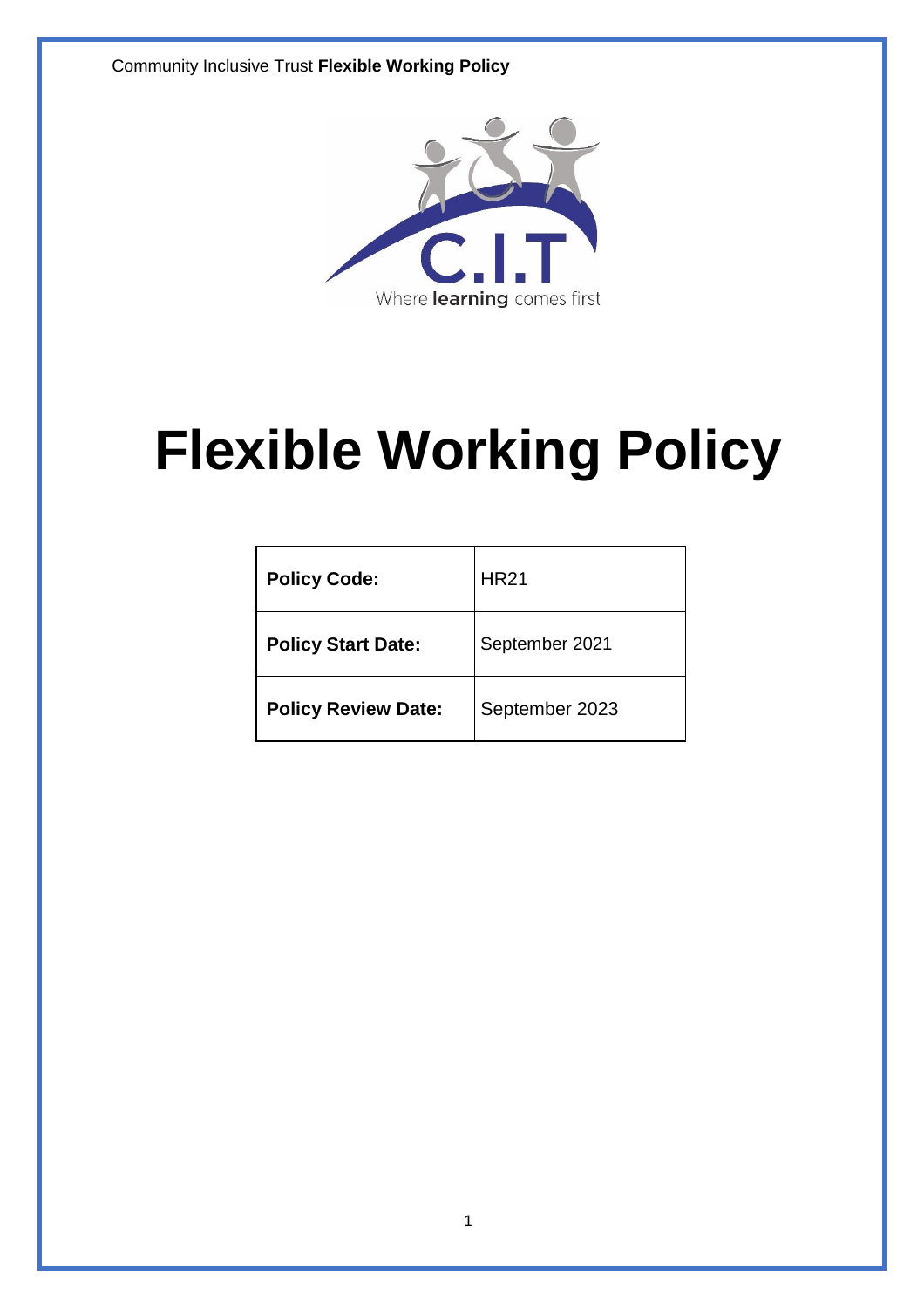Community Inclusive Trust **Flexible Working Policy**



# **Flexible Working Policy**

| <b>Policy Code:</b>        | <b>HR21</b>    |
|----------------------------|----------------|
| <b>Policy Start Date:</b>  | September 2021 |
| <b>Policy Review Date:</b> | September 2023 |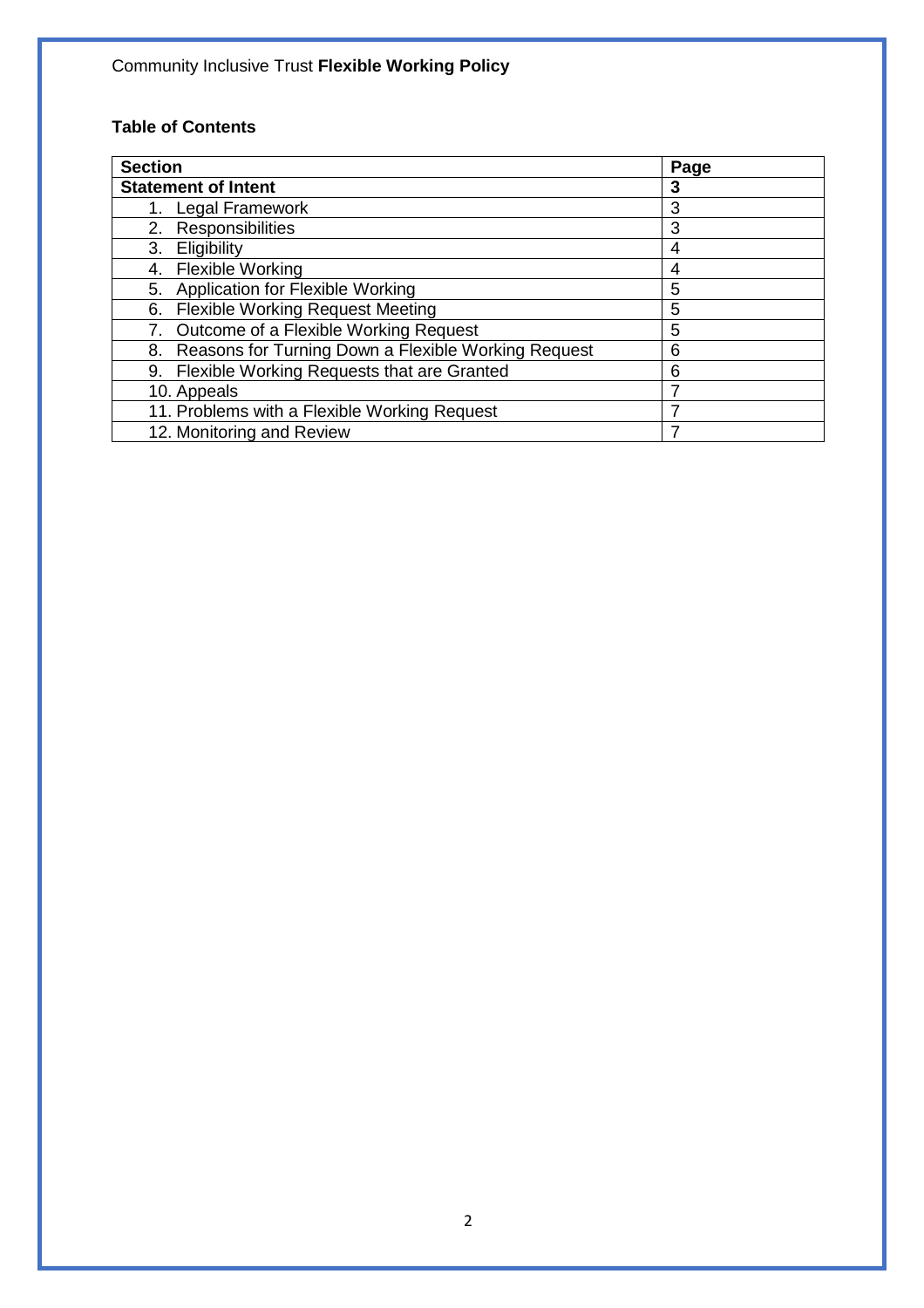# **Table of Contents**

| <b>Section</b>                                         | Page |
|--------------------------------------------------------|------|
| <b>Statement of Intent</b>                             | 3    |
| 1. Legal Framework                                     | 3    |
| 2. Responsibilities                                    | 3    |
| Eligibility<br>3.                                      | 4    |
| 4. Flexible Working                                    | 4    |
| Application for Flexible Working<br>5.                 | 5    |
| <b>Flexible Working Request Meeting</b><br>6.          | 5    |
| Outcome of a Flexible Working Request                  | 5    |
| 8. Reasons for Turning Down a Flexible Working Request | 6    |
| 9. Flexible Working Requests that are Granted          | 6    |
| 10. Appeals                                            |      |
| 11. Problems with a Flexible Working Request           |      |
| 12. Monitoring and Review                              | 7    |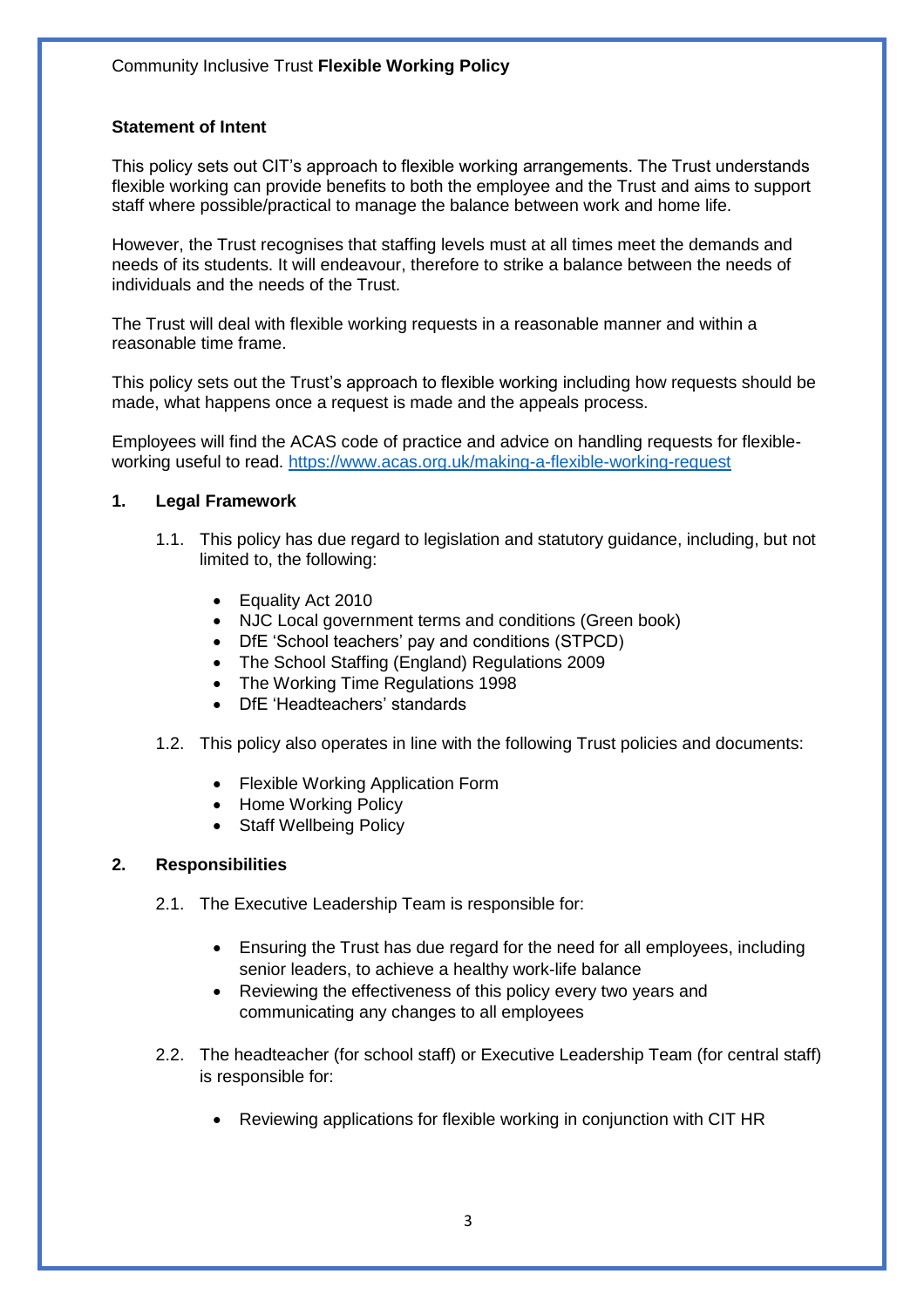#### **Statement of Intent**

This policy sets out CIT's approach to flexible working arrangements. The Trust understands flexible working can provide benefits to both the employee and the Trust and aims to support staff where possible/practical to manage the balance between work and home life.

However, the Trust recognises that staffing levels must at all times meet the demands and needs of its students. It will endeavour, therefore to strike a balance between the needs of individuals and the needs of the Trust.

The Trust will deal with flexible working requests in a reasonable manner and within a reasonable time frame.

This policy sets out the Trust's approach to flexible working including how requests should be made, what happens once a request is made and the appeals process.

Employees will find the ACAS code of practice and advice on handling requests for flexibleworking useful to read.<https://www.acas.org.uk/making-a-flexible-working-request>

#### **1. Legal Framework**

- 1.1. This policy has due regard to legislation and statutory guidance, including, but not limited to, the following:
	- Equality Act 2010
	- NJC Local government terms and conditions (Green book)
	- DfE 'School teachers' pay and conditions (STPCD)
	- The School Staffing (England) Regulations 2009
	- The Working Time Regulations 1998
	- DfE 'Headteachers' standards
- 1.2. This policy also operates in line with the following Trust policies and documents:
	- Flexible Working Application Form
	- Home Working Policy
	- Staff Wellbeing Policy

#### **2. Responsibilities**

- 2.1. The Executive Leadership Team is responsible for:
	- Ensuring the Trust has due regard for the need for all employees, including senior leaders, to achieve a healthy work-life balance
	- Reviewing the effectiveness of this policy every two years and communicating any changes to all employees
- 2.2. The headteacher (for school staff) or Executive Leadership Team (for central staff) is responsible for:
	- Reviewing applications for flexible working in conjunction with CIT HR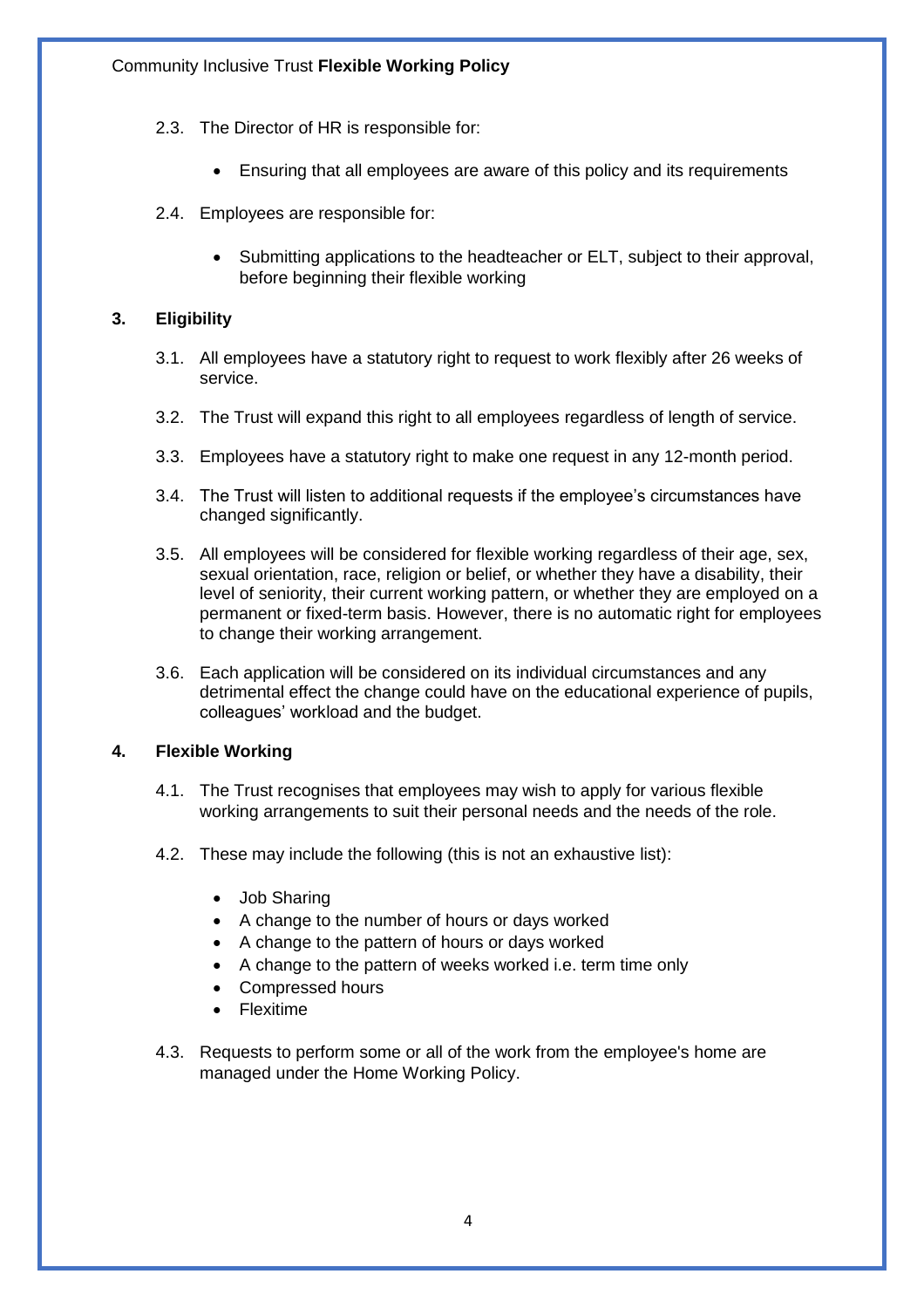- 2.3. The Director of HR is responsible for:
	- Ensuring that all employees are aware of this policy and its requirements
- 2.4. Employees are responsible for:
	- Submitting applications to the headteacher or ELT, subject to their approval, before beginning their flexible working

#### **3. Eligibility**

- 3.1. All employees have a statutory right to request to work flexibly after 26 weeks of service.
- 3.2. The Trust will expand this right to all employees regardless of length of service.
- 3.3. Employees have a statutory right to make one request in any 12-month period.
- 3.4. The Trust will listen to additional requests if the employee's circumstances have changed significantly.
- 3.5. All employees will be considered for flexible working regardless of their age, sex, sexual orientation, race, religion or belief, or whether they have a disability, their level of seniority, their current working pattern, or whether they are employed on a permanent or fixed-term basis. However, there is no automatic right for employees to change their working arrangement.
- 3.6. Each application will be considered on its individual circumstances and any detrimental effect the change could have on the educational experience of pupils, colleagues' workload and the budget.

#### **4. Flexible Working**

- 4.1. The Trust recognises that employees may wish to apply for various flexible working arrangements to suit their personal needs and the needs of the role.
- 4.2. These may include the following (this is not an exhaustive list):
	- Job Sharing
	- A change to the number of hours or days worked
	- A change to the pattern of hours or days worked
	- A change to the pattern of weeks worked i.e. term time only
	- Compressed hours
	- Flexitime
- 4.3. Requests to perform some or all of the work from the employee's home are managed under the Home Working Policy.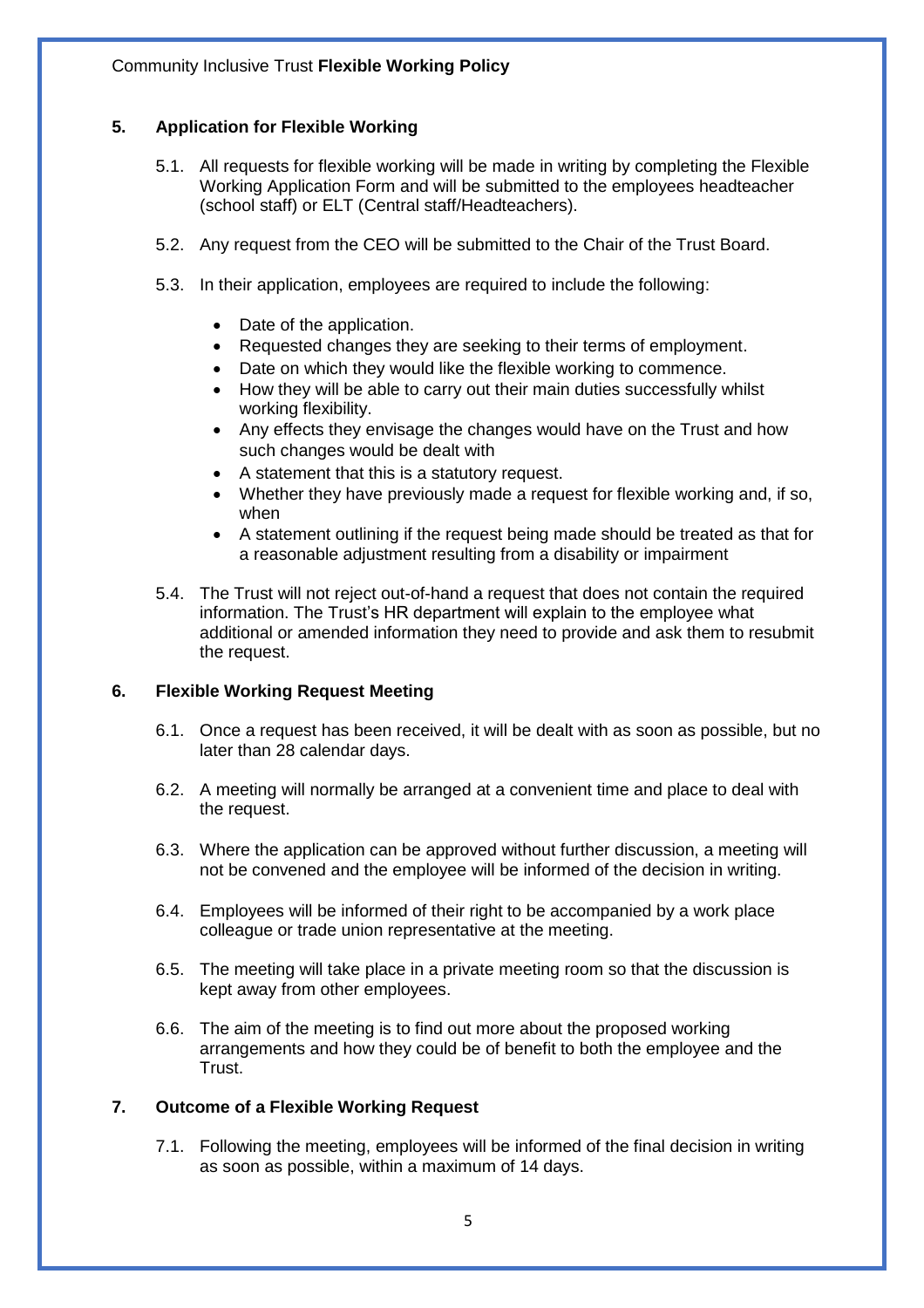#### **5. Application for Flexible Working**

- 5.1. All requests for flexible working will be made in writing by completing the Flexible Working Application Form and will be submitted to the employees headteacher (school staff) or ELT (Central staff/Headteachers).
- 5.2. Any request from the CEO will be submitted to the Chair of the Trust Board.
- 5.3. In their application, employees are required to include the following:
	- Date of the application.
	- Requested changes they are seeking to their terms of employment.
	- Date on which they would like the flexible working to commence.
	- How they will be able to carry out their main duties successfully whilst working flexibility.
	- Any effects they envisage the changes would have on the Trust and how such changes would be dealt with
	- A statement that this is a statutory request.
	- Whether they have previously made a request for flexible working and, if so, when
	- A statement outlining if the request being made should be treated as that for a reasonable adjustment resulting from a disability or impairment
- 5.4. The Trust will not reject out-of-hand a request that does not contain the required information. The Trust's HR department will explain to the employee what additional or amended information they need to provide and ask them to resubmit the request.

#### **6. Flexible Working Request Meeting**

- 6.1. Once a request has been received, it will be dealt with as soon as possible, but no later than 28 calendar days.
- 6.2. A meeting will normally be arranged at a convenient time and place to deal with the request.
- 6.3. Where the application can be approved without further discussion, a meeting will not be convened and the employee will be informed of the decision in writing.
- 6.4. Employees will be informed of their right to be accompanied by a work place colleague or trade union representative at the meeting.
- 6.5. The meeting will take place in a private meeting room so that the discussion is kept away from other employees.
- 6.6. The aim of the meeting is to find out more about the proposed working arrangements and how they could be of benefit to both the employee and the Trust.

#### **7. Outcome of a Flexible Working Request**

7.1. Following the meeting, employees will be informed of the final decision in writing as soon as possible, within a maximum of 14 days.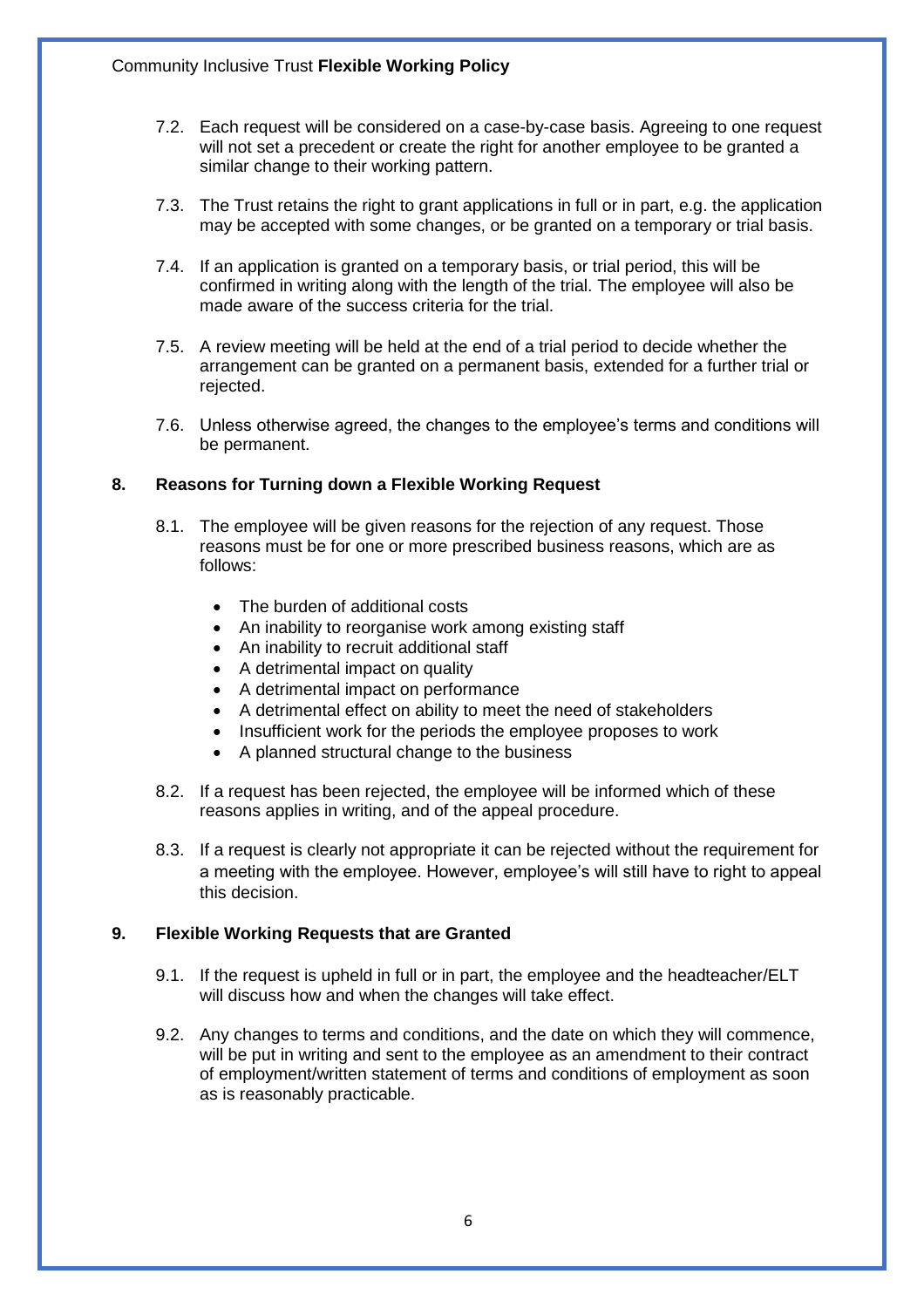- 7.2. Each request will be considered on a case-by-case basis. Agreeing to one request will not set a precedent or create the right for another employee to be granted a similar change to their working pattern.
- 7.3. The Trust retains the right to grant applications in full or in part, e.g. the application may be accepted with some changes, or be granted on a temporary or trial basis.
- 7.4. If an application is granted on a temporary basis, or trial period, this will be confirmed in writing along with the length of the trial. The employee will also be made aware of the success criteria for the trial.
- 7.5. A review meeting will be held at the end of a trial period to decide whether the arrangement can be granted on a permanent basis, extended for a further trial or rejected.
- 7.6. Unless otherwise agreed, the changes to the employee's terms and conditions will be permanent.

#### **8. Reasons for Turning down a Flexible Working Request**

- 8.1. The employee will be given reasons for the rejection of any request. Those reasons must be for one or more prescribed business reasons, which are as follows:
	- The burden of additional costs
	- An inability to reorganise work among existing staff
	- An inability to recruit additional staff
	- A detrimental impact on quality
	- A detrimental impact on performance
	- A detrimental effect on ability to meet the need of stakeholders
	- Insufficient work for the periods the employee proposes to work
	- A planned structural change to the business
- 8.2. If a request has been rejected, the employee will be informed which of these reasons applies in writing, and of the appeal procedure.
- 8.3. If a request is clearly not appropriate it can be rejected without the requirement for a meeting with the employee. However, employee's will still have to right to appeal this decision.

#### **9. Flexible Working Requests that are Granted**

- 9.1. If the request is upheld in full or in part, the employee and the headteacher/ELT will discuss how and when the changes will take effect.
- 9.2. Any changes to terms and conditions, and the date on which they will commence, will be put in writing and sent to the employee as an amendment to their contract of employment/written statement of terms and conditions of employment as soon as is reasonably practicable.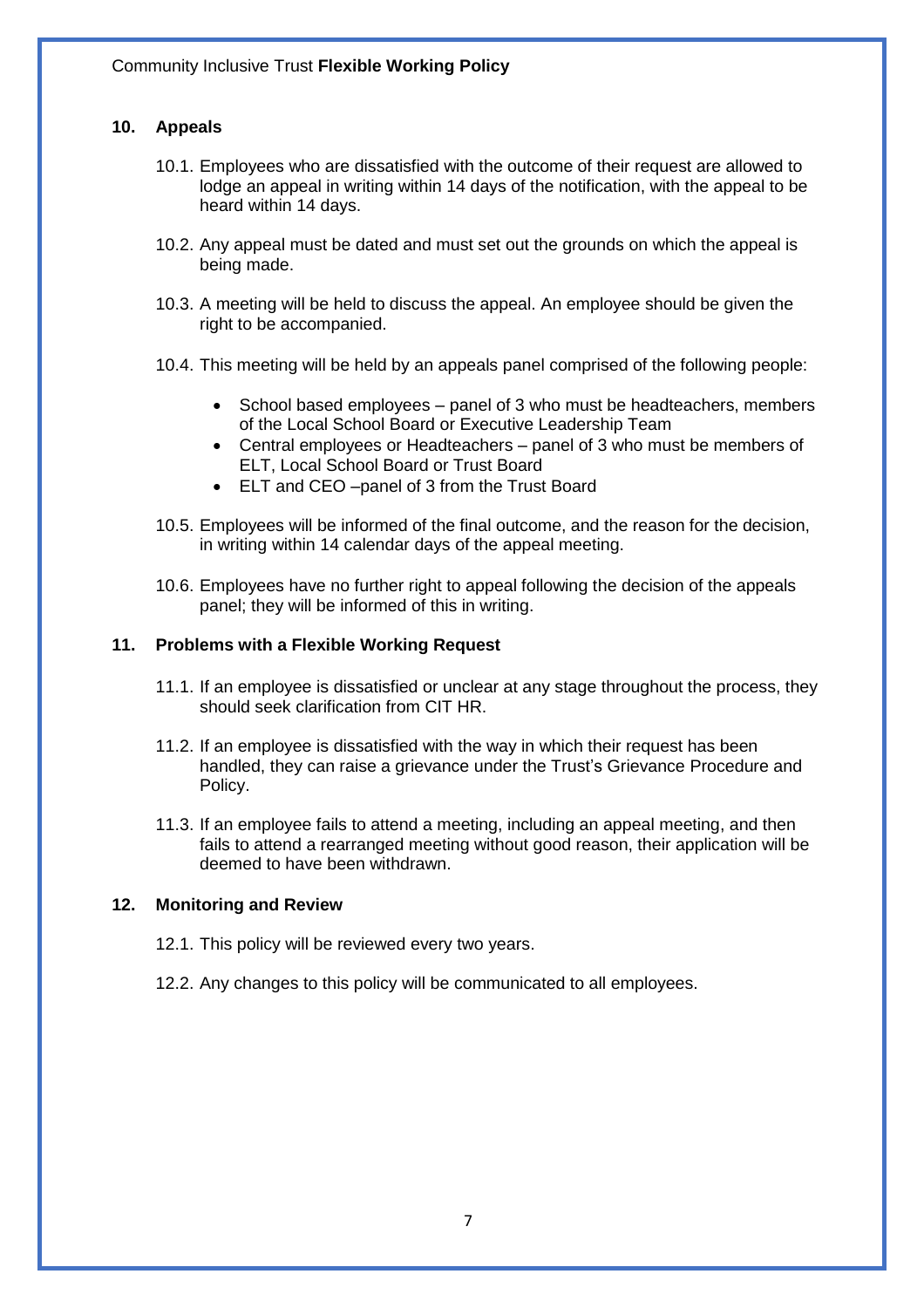#### **10. Appeals**

- 10.1. Employees who are dissatisfied with the outcome of their request are allowed to lodge an appeal in writing within 14 days of the notification, with the appeal to be heard within 14 days.
- 10.2. Any appeal must be dated and must set out the grounds on which the appeal is being made.
- 10.3. A meeting will be held to discuss the appeal. An employee should be given the right to be accompanied.
- 10.4. This meeting will be held by an appeals panel comprised of the following people:
	- School based employees panel of 3 who must be headteachers, members of the Local School Board or Executive Leadership Team
	- Central employees or Headteachers panel of 3 who must be members of ELT, Local School Board or Trust Board
	- ELT and CEO –panel of 3 from the Trust Board
- 10.5. Employees will be informed of the final outcome, and the reason for the decision, in writing within 14 calendar days of the appeal meeting.
- 10.6. Employees have no further right to appeal following the decision of the appeals panel; they will be informed of this in writing.

#### **11. Problems with a Flexible Working Request**

- 11.1. If an employee is dissatisfied or unclear at any stage throughout the process, they should seek clarification from CIT HR.
- 11.2. If an employee is dissatisfied with the way in which their request has been handled, they can raise a grievance under the Trust's Grievance Procedure and Policy.
- 11.3. If an employee fails to attend a meeting, including an appeal meeting, and then fails to attend a rearranged meeting without good reason, their application will be deemed to have been withdrawn.

#### **12. Monitoring and Review**

- 12.1. This policy will be reviewed every two years.
- 12.2. Any changes to this policy will be communicated to all employees.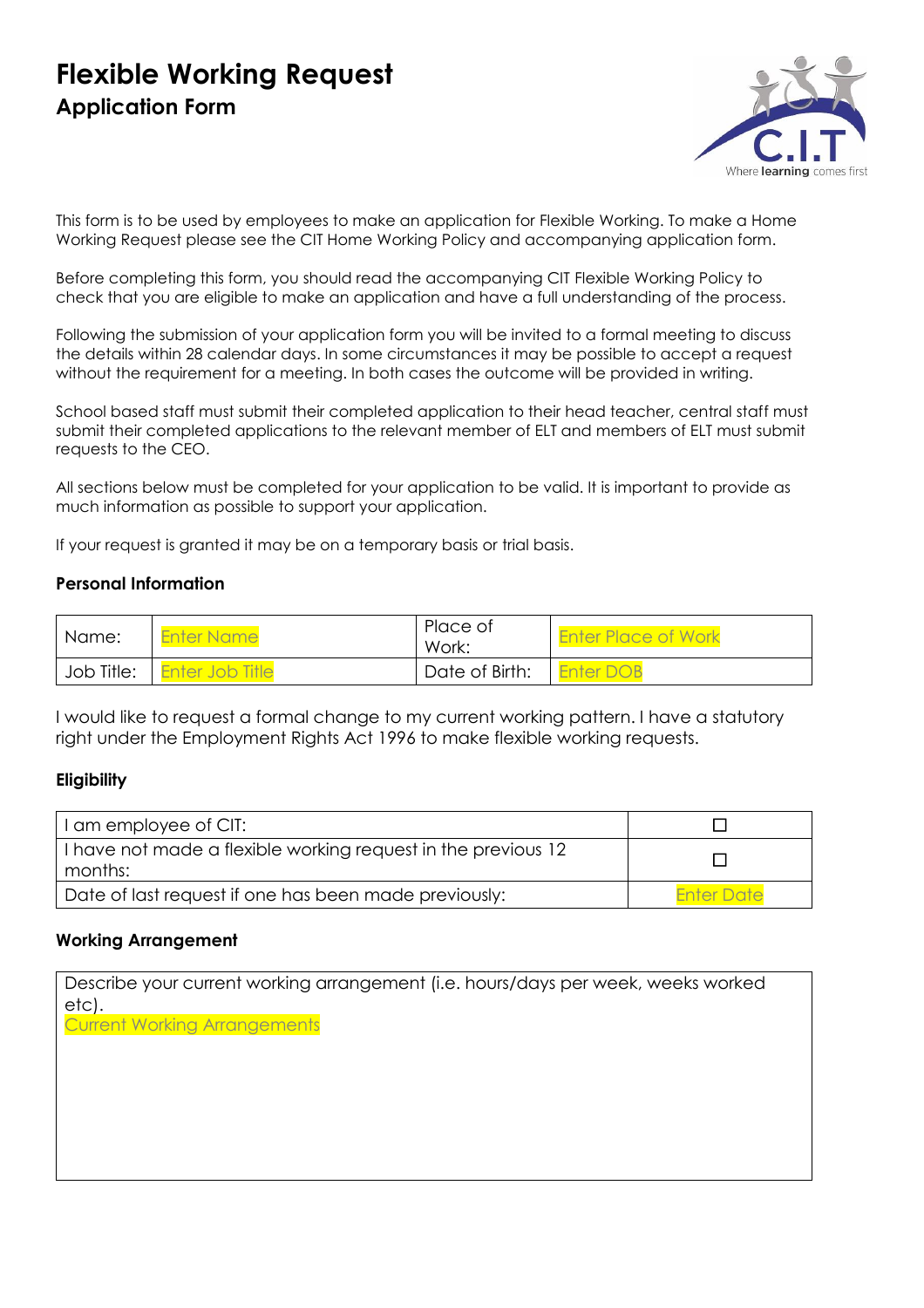# **Flexible Working Request Application Form**



This form is to be used by employees to make an application for Flexible Working. To make a Home Working Request please see the CIT Home Working Policy and accompanying application form.

Before completing this form, you should read the accompanying CIT Flexible Working Policy to check that you are eligible to make an application and have a full understanding of the process.

Following the submission of your application form you will be invited to a formal meeting to discuss the details within 28 calendar days. In some circumstances it may be possible to accept a request without the requirement for a meeting. In both cases the outcome will be provided in writing.

School based staff must submit their completed application to their head teacher, central staff must submit their completed applications to the relevant member of ELT and members of ELT must submit requests to the CEO.

All sections below must be completed for your application to be valid. It is important to provide as much information as possible to support your application.

If your request is granted it may be on a temporary basis or trial basis.

#### **Personal Information**

| l Name:    | <b>Enter Name</b>      | Place of<br>Work: | <b>Enter Place of Work</b> |
|------------|------------------------|-------------------|----------------------------|
| Job Title: | <b>Enter Job Title</b> | Date of Birth:    | <b>Enter DOB</b>           |

I would like to request a formal change to my current working pattern. I have a statutory right under the Employment Rights Act 1996 to make flexible working requests.

#### **Eligibility**

| I am employee of CIT:                                                    |                   |
|--------------------------------------------------------------------------|-------------------|
| I have not made a flexible working request in the previous 12<br>months: |                   |
| Date of last request if one has been made previously:                    | <b>Enter Date</b> |

#### **Working Arrangement**

Describe your current working arrangement (i.e. hours/days per week, weeks worked etc).

Current Working Arrangements